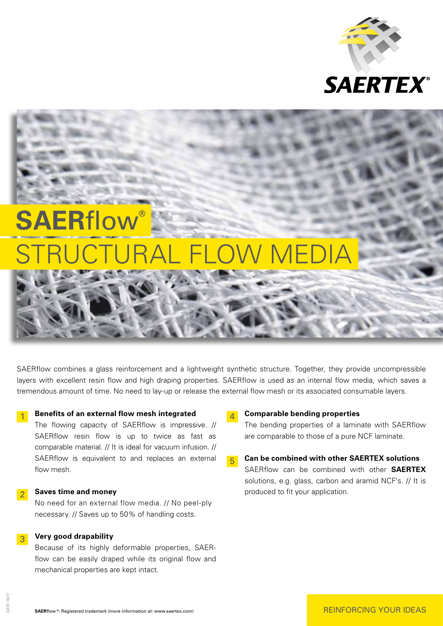

# **SAERflow** STRUCTURAL FLOW MEDIA

SAERflow combines a glass reinforcement and a lightweight synthetic structure. Together, they provide uncompressible layers with excellent resin flow and high draping properties. SAERflow is used as an internal flow media, which saves a tremendous amount of time. No need to lay-up or release the external flow mesh or its associated consumable layers.

## **1** Benefits of an external flow mesh integrated

 The flowing capacity of SAERflow is impressive. // SAERflow resin flow is up to twice as fast as comparable material. // It is ideal for vacuum infusion. // SAERflow is equivalent to and replaces an external flow mesh.

### **2** Saves time and money

 No need for an external flow media. // No peel-ply necessary. // Saves up to 50% of handling costs.

### 3 **Very good drapability**

 Because of its highly deformable properties, SAERflow can be easily draped while its original flow and mechanical properties are kept intact.

#### 4 **Comparable bending properties**

 The bending properties of a laminate with SAERflow are comparable to those of a pure NCF laminate.

5 **Can be combined with other SAERTEX solutions** SAERflow can be combined with other **SAERTEX** solutions, e.g. glass, carbon and aramid NCF's. // It is produced to fit your application.